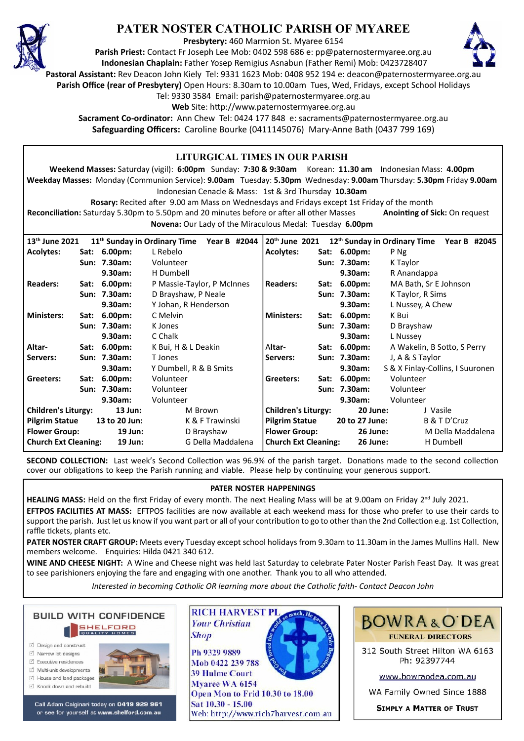

# **PATER NOSTER CATHOLIC PARISH OF MYAREE**

**Presbytery:** 460 Marmion St. Myaree 6154

**Parish Priest:** Contact Fr Joseph Lee Mob: 0402 598 686 e: pp@paternostermyaree.org.au **Indonesian Chaplain:** Father Yosep Remigius Asnabun (Father Remi) Mob: 0423728407



**Pastoral Assistant:** Rev Deacon John Kiely Tel: 9331 1623 Mob: 0408 952 194 e: deacon@paternostermyaree.org.au

**Parish Office (rear of Presbytery)** Open Hours: 8.30am to 10.00am Tues, Wed, Fridays, except School Holidays

Tel: 9330 3584 Email: parish@paternostermyaree.org.au

Web Site: http://www.paternostermyaree.org.au

**Sacrament Co-ordinator:** Ann Chew Tel: 0424 177 848 e: sacraments@paternostermyaree.org.au **Safeguarding Officers:** Caroline Bourke (0411145076) Mary-Anne Bath (0437 799 169)

| LITURGICAL TIMES IN OUR PARISH                                                                                                    |  |                 |                                          |                            |                             |                |                 |                                          |                   |
|-----------------------------------------------------------------------------------------------------------------------------------|--|-----------------|------------------------------------------|----------------------------|-----------------------------|----------------|-----------------|------------------------------------------|-------------------|
| Weekend Masses: Saturday (vigil): 6:00pm Sunday: 7:30 & 9:30am Korean: 11.30 am Indonesian Mass: 4.00pm                           |  |                 |                                          |                            |                             |                |                 |                                          |                   |
| Weekday Masses: Monday (Communion Service): 9.00am Tuesday: 5.30pm Wednesday: 9.00am Thursday: 5.30pm Friday 9.00am               |  |                 |                                          |                            |                             |                |                 |                                          |                   |
| Indonesian Cenacle & Mass: 1st & 3rd Thursday 10.30am                                                                             |  |                 |                                          |                            |                             |                |                 |                                          |                   |
| Rosary: Recited after 9.00 am Mass on Wednesdays and Fridays except 1st Friday of the month                                       |  |                 |                                          |                            |                             |                |                 |                                          |                   |
| Reconciliation: Saturday 5.30pm to 5.50pm and 20 minutes before or after all other Masses<br><b>Anointing of Sick: On request</b> |  |                 |                                          |                            |                             |                |                 |                                          |                   |
| Novena: Our Lady of the Miraculous Medal: Tuesday 6.00pm                                                                          |  |                 |                                          |                            |                             |                |                 |                                          |                   |
|                                                                                                                                   |  |                 |                                          |                            |                             |                |                 |                                          |                   |
| 13 <sup>th</sup> June 2021                                                                                                        |  |                 | 11 <sup>th</sup> Sunday in Ordinary Time | Year B #2044               | 20th June 2021              |                |                 | 12 <sup>th</sup> Sunday in Ordinary Time | Year B #2045      |
| <b>Acolytes:</b>                                                                                                                  |  | Sat: 6.00pm:    | L Rebelo                                 |                            | <b>Acolytes:</b>            |                | Sat: 6.00pm:    | P Ng                                     |                   |
|                                                                                                                                   |  | Sun: 7.30am:    | Volunteer                                |                            |                             |                | Sun: 7.30am:    | K Taylor                                 |                   |
|                                                                                                                                   |  | 9.30am:         | H Dumbell                                |                            |                             |                | 9.30am:         | R Anandappa                              |                   |
| <b>Readers:</b>                                                                                                                   |  | Sat: 6.00pm:    | P Massie-Taylor, P McInnes               |                            | <b>Readers:</b>             | Sat:           | $6.00pm$ :      | MA Bath, Sr E Johnson                    |                   |
|                                                                                                                                   |  | Sun: 7.30am:    | D Brayshaw, P Neale                      |                            |                             |                | Sun: 7.30am:    | K Taylor, R Sims                         |                   |
|                                                                                                                                   |  | 9.30am:         | Y Johan, R Henderson                     |                            |                             |                | 9.30am:         | L Nussey, A Chew                         |                   |
| <b>Ministers:</b>                                                                                                                 |  | Sat: 6.00pm:    | C Melvin                                 |                            | <b>Ministers:</b>           | Sat:           | $6.00pm$ :      | K Bui                                    |                   |
|                                                                                                                                   |  | Sun: 7.30am:    | K Jones                                  |                            |                             |                | Sun: 7.30am:    | D Brayshaw                               |                   |
|                                                                                                                                   |  | 9.30am:         | C Chalk                                  |                            |                             |                | 9.30am:         | L Nussev                                 |                   |
| Altar-                                                                                                                            |  | Sat: 6.00pm:    | K Bui, H & L Deakin                      |                            | Altar-                      |                | Sat: 6.00pm:    | A Wakelin, B Sotto, S Perry              |                   |
| Servers:                                                                                                                          |  | Sun: 7.30am:    | T Jones                                  |                            | Servers:                    |                | Sun: 7.30am:    | J, A & S Taylor                          |                   |
|                                                                                                                                   |  | 9.30am:         | Y Dumbell, R & B Smits                   |                            |                             |                | 9.30am:         | S & X Finlay-Collins, I Suuronen         |                   |
| Greeters:                                                                                                                         |  | Sat: 6.00pm:    | Volunteer                                |                            | Greeters:                   |                | Sat: 6.00pm:    | Volunteer                                |                   |
|                                                                                                                                   |  | Sun: 7.30am:    | Volunteer                                |                            |                             |                | Sun: 7.30am:    | Volunteer                                |                   |
| 9.30am:                                                                                                                           |  | Volunteer       |                                          | 9.30am:                    |                             | Volunteer      |                 |                                          |                   |
| <b>Children's Liturgy:</b><br>$13$ Jun:                                                                                           |  | M Brown         |                                          | <b>Children's Liturgy:</b> |                             | 20 June:       |                 | J Vasile                                 |                   |
| <b>Pilgrim Statue</b><br>13 to 20 Jun:                                                                                            |  | K & F Trawinski |                                          | <b>Pilgrim Statue</b>      |                             | 20 to 27 June: |                 | B & T D'Cruz                             |                   |
| <b>Flower Group:</b><br>19 Jun:                                                                                                   |  |                 | D Brayshaw                               |                            | <b>Flower Group:</b>        |                | <b>26 June:</b> |                                          | M Della Maddalena |
| <b>Church Ext Cleaning:</b><br>19 Jun:                                                                                            |  |                 | G Della Maddalena                        |                            | <b>Church Ext Cleaning:</b> |                | 26 June:        |                                          | H Dumbell         |

**SECOND COLLECTION:** Last week's Second Collection was 96.9% of the parish target. Donations made to the second collection cover our obligations to keep the Parish running and viable. Please help by continuing your generous support.

#### **PATER NOSTER HAPPENINGS**

HEALING MASS: Held on the first Friday of every month. The next Healing Mass will be at 9.00am on Friday 2<sup>nd</sup> July 2021.

**EFTPOS FACILITIES AT MASS:** EFTPOS facili�es are now available at each weekend mass for those who prefer to use their cards to support the parish. Just let us know if you want part or all of your contribution to go to other than the 2nd Collection e.g. 1st Collection, raffle tickets, plants etc.

**PATER NOSTER CRAFT GROUP:** Meets every Tuesday except school holidays from 9.30am to 11.30am in the James Mullins Hall. New members welcome. Enquiries: Hilda 0421 340 612.

**WINE AND CHEESE NIGHT:** A Wine and Cheese night was held last Saturday to celebrate Pater Noster Parish Feast Day. It was great to see parishioners enjoying the fare and engaging with one another. Thank you to all who attended.

*Interested in becoming Catholic OR learning more about the Catholic faith- Contact Deacon John*



- □ Design and construct
- $\triangledown$  Narrow lot designe
- $\triangledown$  Executive residences  $\overrightarrow{2}$  Multi-unit developments
- M House and land packages
- ☑ Knock down and rebuild



Call Adam Calginari today on 0419 929 961 or see for yourself at www.shelford.com.au



Ph 9329 9889 Mob 0422 239 788 **39 Hulme Court** Myaree WA 6154 Open Mon to Frid 10.30 to 18.00 Sat 10.30 - 15.00 Web: http://www.rich7harvest.com.au

**Shop** 



**BOWRA&O'DEA FUNERAL DIRECTORS** 

312 South Street Hilton WA 6163 Ph: 92397744

www.bowraodea.com.au

WA Family Owned Since 1888

**SIMPLY A MATTER OF TRUST**